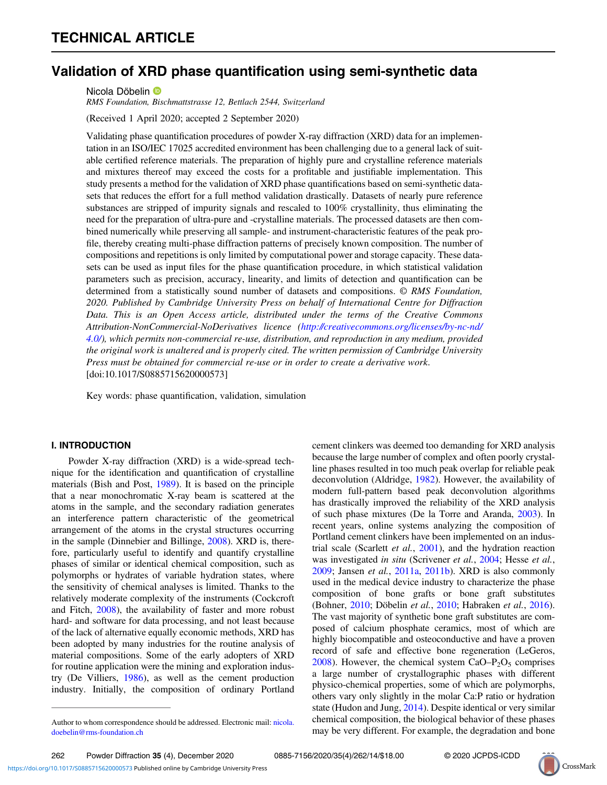# Validation of XRD phase quantification using semi-synthetic data

Nicola Döbelin ® RMS Foundation, Bischmattstrasse 12, Bettlach 2544, Switzerland

(Received 1 April 2020; accepted 2 September 2020)

Validating phase quantification procedures of powder X-ray diffraction (XRD) data for an implementation in an ISO/IEC 17025 accredited environment has been challenging due to a general lack of suitable certified reference materials. The preparation of highly pure and crystalline reference materials and mixtures thereof may exceed the costs for a profitable and justifiable implementation. This study presents a method for the validation of XRD phase quantifications based on semi-synthetic datasets that reduces the effort for a full method validation drastically. Datasets of nearly pure reference substances are stripped of impurity signals and rescaled to 100% crystallinity, thus eliminating the need for the preparation of ultra-pure and -crystalline materials. The processed datasets are then combined numerically while preserving all sample- and instrument-characteristic features of the peak profile, thereby creating multi-phase diffraction patterns of precisely known composition. The number of compositions and repetitions is only limited by computational power and storage capacity. These datasets can be used as input files for the phase quantification procedure, in which statistical validation parameters such as precision, accuracy, linearity, and limits of detection and quantification can be determined from a statistically sound number of datasets and compositions. © RMS Foundation, 2020. Published by Cambridge University Press on behalf of International Centre for Diffraction Data. This is an Open Access article, distributed under the terms of the Creative Commons Attribution-NonCommercial-NoDerivatives licence ([http://creativecommons.org/licenses/by-nc-nd/](http://creativecommons.org/licenses/by-nc-nd/4.0/) [4.0/](http://creativecommons.org/licenses/by-nc-nd/4.0/)), which permits non-commercial re-use, distribution, and reproduction in any medium, provided the original work is unaltered and is properly cited. The written permission of Cambridge University Press must be obtained for commercial re-use or in order to create a derivative work. [doi:10.1017/S0885715620000573]

Key words: phase quantification, validation, simulation

# I. INTRODUCTION

Powder X-ray diffraction (XRD) is a wide-spread technique for the identification and quantification of crystalline materials (Bish and Post, [1989\)](#page-12-0). It is based on the principle that a near monochromatic X-ray beam is scattered at the atoms in the sample, and the secondary radiation generates an interference pattern characteristic of the geometrical arrangement of the atoms in the crystal structures occurring in the sample (Dinnebier and Billinge, [2008](#page-12-0)). XRD is, therefore, particularly useful to identify and quantify crystalline phases of similar or identical chemical composition, such as polymorphs or hydrates of variable hydration states, where the sensitivity of chemical analyses is limited. Thanks to the relatively moderate complexity of the instruments (Cockcroft and Fitch, [2008](#page-12-0)), the availability of faster and more robust hard- and software for data processing, and not least because of the lack of alternative equally economic methods, XRD has been adopted by many industries for the routine analysis of material compositions. Some of the early adopters of XRD for routine application were the mining and exploration industry (De Villiers, [1986\)](#page-12-0), as well as the cement production industry. Initially, the composition of ordinary Portland

cement clinkers was deemed too demanding for XRD analysis because the large number of complex and often poorly crystalline phases resulted in too much peak overlap for reliable peak deconvolution (Aldridge, [1982\)](#page-12-0). However, the availability of modern full-pattern based peak deconvolution algorithms has drastically improved the reliability of the XRD analysis of such phase mixtures (De la Torre and Aranda, [2003](#page-12-0)). In recent years, online systems analyzing the composition of Portland cement clinkers have been implemented on an industrial scale (Scarlett et al., [2001\)](#page-13-0), and the hydration reaction was investigated in situ (Scrivener et al., [2004;](#page-13-0) Hesse et al., [2009;](#page-12-0) Jansen et al., [2011a,](#page-13-0) [2011b\)](#page-13-0). XRD is also commonly used in the medical device industry to characterize the phase composition of bone grafts or bone graft substitutes (Bohner, [2010](#page-12-0); Döbelin et al., [2010;](#page-12-0) Habraken et al., [2016](#page-12-0)). The vast majority of synthetic bone graft substitutes are composed of calcium phosphate ceramics, most of which are highly biocompatible and osteoconductive and have a proven record of safe and effective bone regeneration (LeGeros, [2008\)](#page-13-0). However, the chemical system  $CaO-P<sub>2</sub>O<sub>5</sub>$  comprises a large number of crystallographic phases with different physico-chemical properties, some of which are polymorphs, others vary only slightly in the molar Ca:P ratio or hydration state (Hudon and Jung, [2014](#page-12-0)). Despite identical or very similar chemical composition, the biological behavior of these phases may be very different. For example, the degradation and bone

<https://doi.org/10.1017/S0885715620000573>Published online by Cambridge University Press

Author to whom correspondence should be addressed. Electronic mail: [nicola.](mailto:nicola.doebelin@rms-foundation.ch) [doebelin@rms-foundation.ch](mailto:nicola.doebelin@rms-foundation.ch)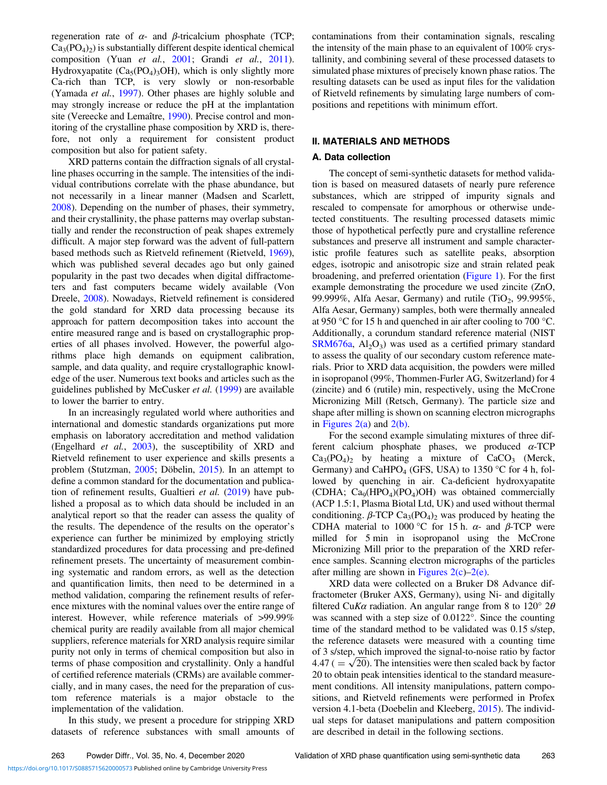regeneration rate of  $α$ - and  $β$ -tricalcium phosphate (TCP;  $Ca<sub>3</sub>(PO<sub>4</sub>)<sub>2</sub>$ ) is substantially different despite identical chemical composition (Yuan et al., [2001;](#page-13-0) Grandi et al., [2011](#page-12-0)). Hydroxyapatite  $(Ca_5(PO_4)_3OH)$ , which is only slightly more Ca-rich than TCP, is very slowly or non-resorbable (Yamada et al., [1997](#page-13-0)). Other phases are highly soluble and may strongly increase or reduce the pH at the implantation site (Vereecke and Lemaître, [1990\)](#page-13-0). Precise control and monitoring of the crystalline phase composition by XRD is, therefore, not only a requirement for consistent product composition but also for patient safety.

XRD patterns contain the diffraction signals of all crystalline phases occurring in the sample. The intensities of the individual contributions correlate with the phase abundance, but not necessarily in a linear manner (Madsen and Scarlett, [2008\)](#page-13-0). Depending on the number of phases, their symmetry, and their crystallinity, the phase patterns may overlap substantially and render the reconstruction of peak shapes extremely difficult. A major step forward was the advent of full-pattern based methods such as Rietveld refinement (Rietveld, [1969](#page-13-0)), which was published several decades ago but only gained popularity in the past two decades when digital diffractometers and fast computers became widely available (Von Dreele, [2008](#page-13-0)). Nowadays, Rietveld refinement is considered the gold standard for XRD data processing because its approach for pattern decomposition takes into account the entire measured range and is based on crystallographic properties of all phases involved. However, the powerful algorithms place high demands on equipment calibration, sample, and data quality, and require crystallographic knowledge of the user. Numerous text books and articles such as the guidelines published by McCusker et al. ([1999\)](#page-13-0) are available to lower the barrier to entry.

In an increasingly regulated world where authorities and international and domestic standards organizations put more emphasis on laboratory accreditation and method validation (Engelhard et al., [2003](#page-12-0)), the susceptibility of XRD and Rietveld refinement to user experience and skills presents a problem (Stutzman, [2005;](#page-13-0) Döbelin, [2015\)](#page-12-0). In an attempt to define a common standard for the documentation and publica-tion of refinement results, Gualtieri et al. [\(2019](#page-12-0)) have published a proposal as to which data should be included in an analytical report so that the reader can assess the quality of the results. The dependence of the results on the operator's experience can further be minimized by employing strictly standardized procedures for data processing and pre-defined refinement presets. The uncertainty of measurement combining systematic and random errors, as well as the detection and quantification limits, then need to be determined in a method validation, comparing the refinement results of reference mixtures with the nominal values over the entire range of interest. However, while reference materials of >99.99% chemical purity are readily available from all major chemical suppliers, reference materials for XRD analysis require similar purity not only in terms of chemical composition but also in terms of phase composition and crystallinity. Only a handful of certified reference materials (CRMs) are available commercially, and in many cases, the need for the preparation of custom reference materials is a major obstacle to the implementation of the validation.

In this study, we present a procedure for stripping XRD datasets of reference substances with small amounts of contaminations from their contamination signals, rescaling the intensity of the main phase to an equivalent of 100% crystallinity, and combining several of these processed datasets to simulated phase mixtures of precisely known phase ratios. The resulting datasets can be used as input files for the validation of Rietveld refinements by simulating large numbers of compositions and repetitions with minimum effort.

# II. MATERIALS AND METHODS

# A. Data collection

The concept of semi-synthetic datasets for method validation is based on measured datasets of nearly pure reference substances, which are stripped of impurity signals and rescaled to compensate for amorphous or otherwise undetected constituents. The resulting processed datasets mimic those of hypothetical perfectly pure and crystalline reference substances and preserve all instrument and sample characteristic profile features such as satellite peaks, absorption edges, isotropic and anisotropic size and strain related peak broadening, and preferred orientation [\(Figure 1](#page-2-0)). For the first example demonstrating the procedure we used zincite (ZnO, 99.999%, Alfa Aesar, Germany) and rutile (TiO<sub>2</sub>, 99.995%, Alfa Aesar, Germany) samples, both were thermally annealed at 950 °C for 15 h and quenched in air after cooling to 700 °C. Additionally, a corundum standard reference material (NIST  $SRM676a$ ,  $Al_2O_3$ ) was used as a certified primary standard to assess the quality of our secondary custom reference materials. Prior to XRD data acquisition, the powders were milled in isopropanol (99%, Thommen-Furler AG, Switzerland) for 4 (zincite) and 6 (rutile) min, respectively, using the McCrone Micronizing Mill (Retsch, Germany). The particle size and shape after milling is shown on scanning electron micrographs in Figures  $2(a)$  and  $2(b)$ .

For the second example simulating mixtures of three different calcium phosphate phases, we produced  $\alpha$ -TCP  $Ca<sub>3</sub>(PO<sub>4</sub>)<sub>2</sub>$  by heating a mixture of  $CaCO<sub>3</sub>$  (Merck, Germany) and CaHPO<sub>4</sub> (GFS, USA) to 1350 °C for 4 h, followed by quenching in air. Ca-deficient hydroxyapatite (CDHA;  $Ca_9(HPO_4)(PO_4)OH$ ) was obtained commercially (ACP 1.5:1, Plasma Biotal Ltd, UK) and used without thermal conditioning.  $\beta$ -TCP Ca<sub>3</sub>(PO<sub>4</sub>)<sub>2</sub> was produced by heating the CDHA material to 1000 °C for 15 h.  $\alpha$ - and β-TCP were milled for 5 min in isopropanol using the McCrone Micronizing Mill prior to the preparation of the XRD reference samples. Scanning electron micrographs of the particles after milling are shown in Figures  $2(c)-2(e)$  $2(c)-2(e)$ .

XRD data were collected on a Bruker D8 Advance diffractometer (Bruker AXS, Germany), using Ni- and digitally filtered CuK $\alpha$  radiation. An angular range from 8 to 120° 2 $\theta$ was scanned with a step size of 0.0122°. Since the counting time of the standard method to be validated was 0.15 s/step, the reference datasets were measured with a counting time of 3 s/step, which improved the signal-to-noise ratio by factor 4.47 ( $=\sqrt{20}$ ). The intensities were then scaled back by factor 20 to obtain peak intensities identical to the standard measurement conditions. All intensity manipulations, pattern compositions, and Rietveld refinements were performed in Profex version 4.1-beta (Doebelin and Kleeberg, [2015](#page-12-0)). The individual steps for dataset manipulations and pattern composition are described in detail in the following sections.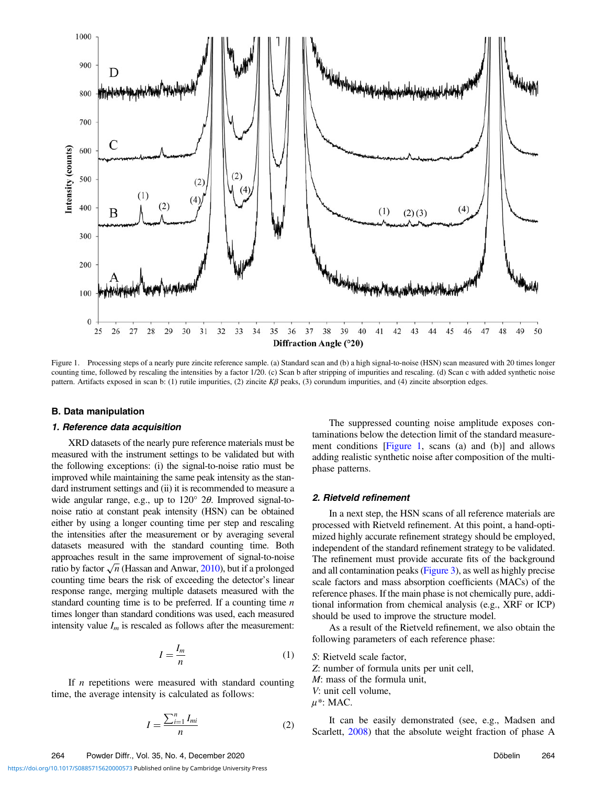<span id="page-2-0"></span>

Figure 1. Processing steps of a nearly pure zincite reference sample. (a) Standard scan and (b) a high signal-to-noise (HSN) scan measured with 20 times longer counting time, followed by rescaling the intensities by a factor 1/20. (c) Scan b after stripping of impurities and rescaling. (d) Scan c with added synthetic noise pattern. Artifacts exposed in scan b: (1) rutile impurities, (2) zincite Kβ peaks, (3) corundum impurities, and (4) zincite absorption edges.

#### B. Data manipulation

## 1. Reference data acquisition

XRD datasets of the nearly pure reference materials must be measured with the instrument settings to be validated but with the following exceptions: (i) the signal-to-noise ratio must be improved while maintaining the same peak intensity as the standard instrument settings and (ii) it is recommended to measure a wide angular range, e.g., up to 120° 2θ. Improved signal-tonoise ratio at constant peak intensity (HSN) can be obtained either by using a longer counting time per step and rescaling the intensities after the measurement or by averaging several datasets measured with the standard counting time. Both approaches result in the same improvement of signal-to-noise ratio by factor  $\sqrt{n}$  (Hassan and Anwar, [2010\)](#page-12-0), but if a prolonged counting time bears the risk of exceeding the detector's linear response range, merging multiple datasets measured with the standard counting time is to be preferred. If a counting time  $n$ times longer than standard conditions was used, each measured intensity value  $I_m$  is rescaled as follows after the measurement:

$$
I = \frac{I_m}{n} \tag{1}
$$

If  $n$  repetitions were measured with standard counting time, the average intensity is calculated as follows:

$$
I = \frac{\sum_{i=1}^{n} I_{mi}}{n} \tag{2}
$$

The suppressed counting noise amplitude exposes contaminations below the detection limit of the standard measurement conditions [Figure 1, scans (a) and (b)] and allows adding realistic synthetic noise after composition of the multiphase patterns.

#### 2. Rietveld refinement

In a next step, the HSN scans of all reference materials are processed with Rietveld refinement. At this point, a hand-optimized highly accurate refinement strategy should be employed, independent of the standard refinement strategy to be validated. The refinement must provide accurate fits of the background and all contamination peaks [\(Figure 3](#page-4-0)), as well as highly precise scale factors and mass absorption coefficients (MACs) of the reference phases. If the main phase is not chemically pure, additional information from chemical analysis (e.g., XRF or ICP) should be used to improve the structure model.

As a result of the Rietveld refinement, we also obtain the following parameters of each reference phase:

S: Rietveld scale factor,

Z: number of formula units per unit cell,

M: mass of the formula unit,

V: unit cell volume,

 $\mu^*$ : MAC.

It can be easily demonstrated (see, e.g., Madsen and Scarlett, [2008](#page-13-0)) that the absolute weight fraction of phase A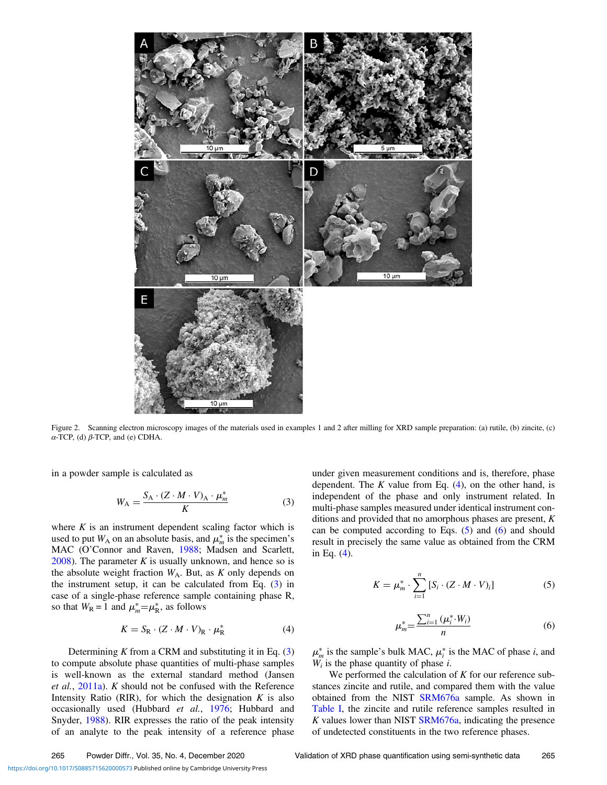<span id="page-3-0"></span>

Figure 2. Scanning electron microscopy images of the materials used in examples 1 and 2 after milling for XRD sample preparation: (a) rutile, (b) zincite, (c) α-TCP, (d)  $β$ -TCP, and (e) CDHA.

in a powder sample is calculated as

$$
W_{\rm A} = \frac{S_{\rm A} \cdot (Z \cdot M \cdot V)_{\rm A} \cdot \mu_m^*}{K} \tag{3}
$$

where  $K$  is an instrument dependent scaling factor which is used to put  $W_A$  on an absolute basis, and  $\mu_m^*$  is the specimen's MAC (O'Connor and Raven, [1988;](#page-13-0) Madsen and Scarlett, [2008\)](#page-13-0). The parameter  $K$  is usually unknown, and hence so is the absolute weight fraction  $W_A$ . But, as K only depends on the instrument setup, it can be calculated from Eq. (3) in case of a single-phase reference sample containing phase R, so that  $W_R = 1$  and  $\mu_m^* = \mu_R^*$ , as follows

$$
K = S_{R} \cdot (Z \cdot M \cdot V)_{R} \cdot \mu_{R}^{*} \tag{4}
$$

Determining  $K$  from a CRM and substituting it in Eq.  $(3)$ to compute absolute phase quantities of multi-phase samples is well-known as the external standard method (Jansen et al., [2011a](#page-13-0)). K should not be confused with the Reference Intensity Ratio (RIR), for which the designation  $K$  is also occasionally used (Hubbard et al., [1976;](#page-12-0) Hubbard and Snyder, [1988](#page-12-0)). RIR expresses the ratio of the peak intensity of an analyte to the peak intensity of a reference phase under given measurement conditions and is, therefore, phase dependent. The  $K$  value from Eq. (4), on the other hand, is independent of the phase and only instrument related. In multi-phase samples measured under identical instrument conditions and provided that no amorphous phases are present,  $K$ can be computed according to Eqs. (5) and (6) and should result in precisely the same value as obtained from the CRM in Eq. (4).

$$
K = \mu_m^* \cdot \sum_{i=1}^n \left[ S_i \cdot (Z \cdot M \cdot V)_i \right] \tag{5}
$$

$$
\mu_m^* = \frac{\sum_{i=1}^n (\mu_i^* \cdot W_i)}{n} \tag{6}
$$

 $\mu_m^*$  is the sample's bulk MAC,  $\mu_i^*$  is the MAC of phase *i*, and  $W_i$  is the phase quantity of phase i.

We performed the calculation of  $K$  for our reference substances zincite and rutile, and compared them with the value obtained from the NIST [SRM676a](#page-13-0) sample. As shown in [Table I,](#page-4-0) the zincite and rutile reference samples resulted in  $K$  values lower than NIST SRM $676a$ , indicating the presence of undetected constituents in the two reference phases.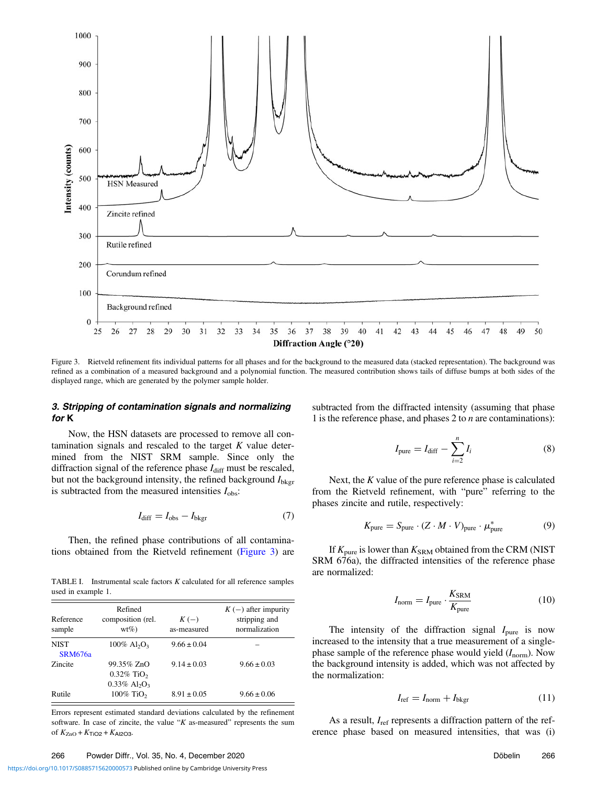<span id="page-4-0"></span>

Figure 3. Rietveld refinement fits individual patterns for all phases and for the background to the measured data (stacked representation). The background was refined as a combination of a measured background and a polynomial function. The measured contribution shows tails of diffuse bumps at both sides of the displayed range, which are generated by the polymer sample holder.

# 3. Stripping of contamination signals and normalizing for K

Now, the HSN datasets are processed to remove all contamination signals and rescaled to the target  $K$  value determined from the NIST SRM sample. Since only the diffraction signal of the reference phase  $I_{\text{diff}}$  must be rescaled, but not the background intensity, the refined background  $I_{\text{bkgr}}$ is subtracted from the measured intensities  $I_{obs}$ :

$$
I_{\text{diff}} = I_{\text{obs}} - I_{\text{bkgr}} \tag{7}
$$

Then, the refined phase contributions of all contaminations obtained from the Rietveld refinement (Figure 3) are

TABLE I. Instrumental scale factors  $K$  calculated for all reference samples used in example 1.

| Reference<br>sample    | Refined<br>composition (rel.<br>$wt\%$                                             | $K(-)$<br>as-measured | $K(-)$ after impurity<br>stripping and<br>normalization |
|------------------------|------------------------------------------------------------------------------------|-----------------------|---------------------------------------------------------|
| <b>NIST</b><br>SRM676a | $100\%$ Al <sub>2</sub> O <sub>3</sub>                                             | $9.66 \pm 0.04$       |                                                         |
| Zincite                | 99.35% ZnO<br>$0.32\%$ TiO <sub>2</sub><br>$0.33\%$ Al <sub>2</sub> O <sub>3</sub> | $9.14 \pm 0.03$       | $9.66 \pm 0.03$                                         |
| Rutile                 | 100% TiO <sub>2</sub>                                                              | $8.91 \pm 0.05$       | $9.66 \pm 0.06$                                         |

Errors represent estimated standard deviations calculated by the refinement software. In case of zincite, the value " $K$  as-measured" represents the sum of  $K_{ZnO} + K_{TiO2} + K_{Al2O3}$ .

subtracted from the diffracted intensity (assuming that phase 1 is the reference phase, and phases 2 to  $n$  are contaminations):

$$
I_{\text{pure}} = I_{\text{diff}} - \sum_{i=2}^{n} I_i \tag{8}
$$

Next, the  $K$  value of the pure reference phase is calculated from the Rietveld refinement, with "pure" referring to the phases zincite and rutile, respectively:

$$
K_{\text{pure}} = S_{\text{pure}} \cdot (Z \cdot M \cdot V)_{\text{pure}} \cdot \mu_{\text{pure}}^* \tag{9}
$$

If  $K_{pure}$  is lower than  $K_{SRM}$  obtained from the CRM (NIST SRM 676a), the diffracted intensities of the reference phase are normalized:

$$
I_{\text{norm}} = I_{\text{pure}} \cdot \frac{K_{\text{SRM}}}{K_{\text{pure}}} \tag{10}
$$

The intensity of the diffraction signal  $I_{pure}$  is now increased to the intensity that a true measurement of a singlephase sample of the reference phase would yield  $(I_{\text{norm}})$ . Now the background intensity is added, which was not affected by the normalization:

$$
I_{\rm ref} = I_{\rm norm} + I_{\rm bkgr} \tag{11}
$$

As a result,  $I_{ref}$  represents a diffraction pattern of the reference phase based on measured intensities, that was (i)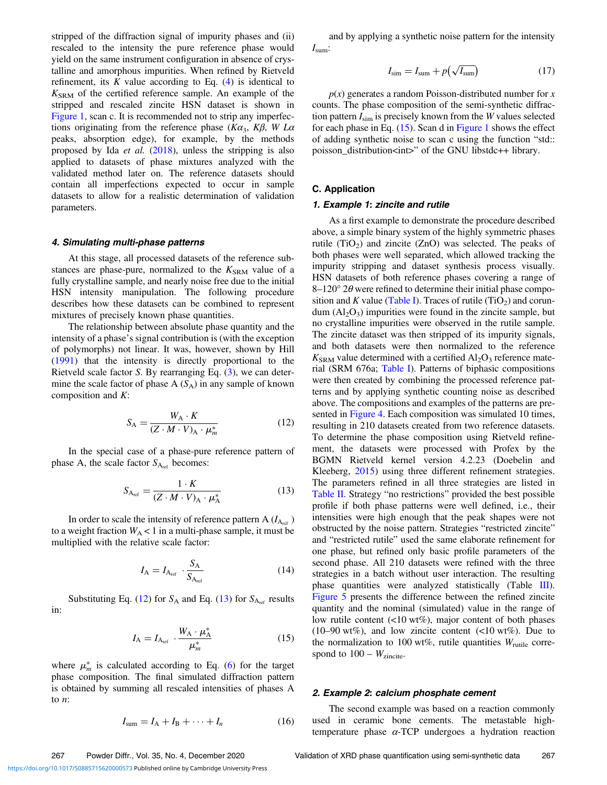<span id="page-5-0"></span>stripped of the diffraction signal of impurity phases and (ii) rescaled to the intensity the pure reference phase would yield on the same instrument configuration in absence of crystalline and amorphous impurities. When refined by Rietveld refinement, its  $K$  value according to Eq.  $(4)$  $(4)$  is identical to  $K<sub>SRM</sub>$  of the certified reference sample. An example of the stripped and rescaled zincite HSN dataset is shown in [Figure 1](#page-2-0), scan c. It is recommended not to strip any imperfections originating from the reference phase ( $K\alpha_3$ ,  $K\beta$ , W L $\alpha$ ) peaks, absorption edge), for example, by the methods proposed by Ida et al. [\(2018](#page-13-0)), unless the stripping is also applied to datasets of phase mixtures analyzed with the validated method later on. The reference datasets should contain all imperfections expected to occur in sample datasets to allow for a realistic determination of validation parameters.

#### 4. Simulating multi-phase patterns

At this stage, all processed datasets of the reference substances are phase-pure, normalized to the  $K_{\text{SRM}}$  value of a fully crystalline sample, and nearly noise free due to the initial HSN intensity manipulation. The following procedure describes how these datasets can be combined to represent mixtures of precisely known phase quantities.

The relationship between absolute phase quantity and the intensity of a phase's signal contribution is (with the exception of polymorphs) not linear. It was, however, shown by Hill [\(1991](#page-12-0)) that the intensity is directly proportional to the Rietveld scale factor S. By rearranging Eq. [\(3](#page-3-0)), we can determine the scale factor of phase  $A(S_A)$  in any sample of known composition and K:

$$
S_{A} = \frac{W_{A} \cdot K}{(Z \cdot M \cdot V)_{A} \cdot \mu_{m}^{*}}
$$
 (12)

In the special case of a phase-pure reference pattern of phase A, the scale factor  $S_{A_{\text{ref}}}$  becomes:

$$
S_{A_{ref}} = \frac{1 \cdot K}{(Z \cdot M \cdot V)_{A} \cdot \mu_{A}^{*}}
$$
(13)

In order to scale the intensity of reference pattern A  $(I_{A_{ref}})$ to a weight fraction  $W_A < 1$  in a multi-phase sample, it must be multiplied with the relative scale factor:

$$
I_{\rm A} = I_{\rm A_{ref}} \cdot \frac{S_{\rm A}}{S_{\rm A_{ref}}} \tag{14}
$$

Substituting Eq. (12) for  $S_A$  and Eq. (13) for  $S_{A_{ref}}$  results in:

$$
I_{\rm A} = I_{\rm A_{ref}} \cdot \frac{W_{\rm A} \cdot \mu_{\rm A}^*}{\mu_m^*} \tag{15}
$$

where  $\mu_m^*$  is calculated according to Eq. [\(6](#page-3-0)) for the target phase composition. The final simulated diffraction pattern is obtained by summing all rescaled intensities of phases A to n:

$$
I_{\text{sum}} = I_{\text{A}} + I_{\text{B}} + \dots + I_{n} \tag{16}
$$

and by applying a synthetic noise pattern for the intensity  $I_{sum}$ :

$$
I_{\text{sim}} = I_{\text{sum}} + p(\sqrt{I_{\text{sum}}}) \tag{17}
$$

 $p(x)$  generates a random Poisson-distributed number for x counts. The phase composition of the semi-synthetic diffraction pattern  $I_{\text{sim}}$  is precisely known from the W values selected for each phase in Eq.  $(15)$ . Scan d in [Figure 1](#page-2-0) shows the effect of adding synthetic noise to scan c using the function "std:: poisson\_distribution<int>" of the GNU libstdc++ library.

### C. Application

#### 1. Example 1: zincite and rutile

As a first example to demonstrate the procedure described above, a simple binary system of the highly symmetric phases rutile (TiO<sub>2</sub>) and zincite (ZnO) was selected. The peaks of both phases were well separated, which allowed tracking the impurity stripping and dataset synthesis process visually. HSN datasets of both reference phases covering a range of  $8-120^{\circ}$  2 $\theta$  were refined to determine their initial phase compo-sition and K value ([Table I\)](#page-4-0). Traces of rutile (TiO<sub>2</sub>) and corundum  $(A1<sub>2</sub>O<sub>3</sub>)$  impurities were found in the zincite sample, but no crystalline impurities were observed in the rutile sample. The zincite dataset was then stripped of its impurity signals, and both datasets were then normalized to the reference  $K_{SRM}$  value determined with a certified  $Al_2O_3$  reference material (SRM 676a; [Table I](#page-4-0)). Patterns of biphasic compositions were then created by combining the processed reference patterns and by applying synthetic counting noise as described above. The compositions and examples of the patterns are pre-sented in [Figure 4](#page-6-0). Each composition was simulated 10 times, resulting in 210 datasets created from two reference datasets. To determine the phase composition using Rietveld refinement, the datasets were processed with Profex by the BGMN Rietveld kernel version 4.2.23 (Doebelin and Kleeberg, [2015](#page-12-0)) using three different refinement strategies. The parameters refined in all three strategies are listed in [Table II.](#page-6-0) Strategy "no restrictions" provided the best possible profile if both phase patterns were well defined, i.e., their intensities were high enough that the peak shapes were not obstructed by the noise pattern. Strategies "restricted zincite" and "restricted rutile" used the same elaborate refinement for one phase, but refined only basic profile parameters of the second phase. All 210 datasets were refined with the three strategies in a batch without user interaction. The resulting phase quantities were analyzed statistically (Table [III](#page-6-0)). [Figure 5](#page-7-0) presents the difference between the refined zincite quantity and the nominal (simulated) value in the range of low rutile content  $\left($ <10 wt%), major content of both phases (10–90 wt%), and low zincite content  $\left($ <10 wt%). Due to the normalization to 100 wt%, rutile quantities  $W_{\text{rutile}}$  correspond to  $100 - W$ zincite.

## 2. Example 2: calcium phosphate cement

The second example was based on a reaction commonly used in ceramic bone cements. The metastable hightemperature phase  $\alpha$ -TCP undergoes a hydration reaction

<https://doi.org/10.1017/S0885715620000573>Published online by Cambridge University Press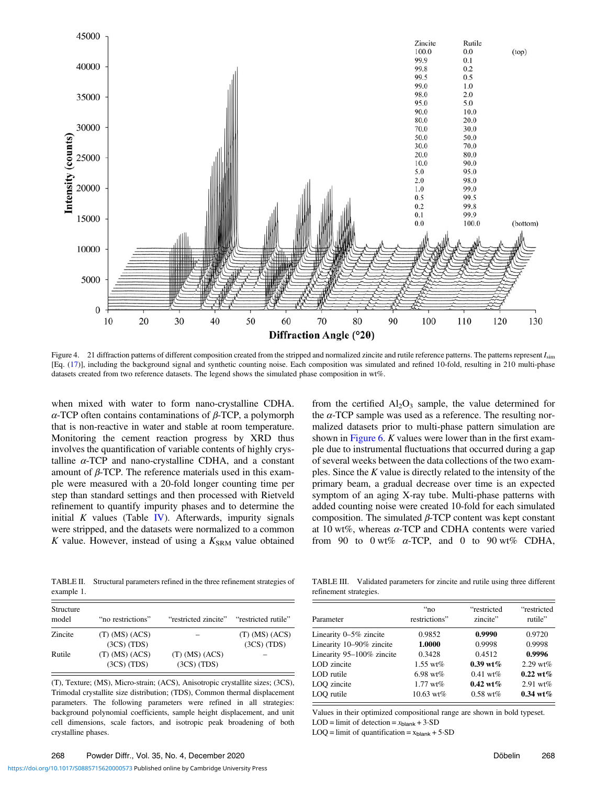<span id="page-6-0"></span>

Figure 4. 21 diffraction patterns of different composition created from the stripped and normalized zincite and rutile reference patterns. The patterns represent  $I_{sim}$ [Eq. ([17\)](#page-5-0)], including the background signal and synthetic counting noise. Each composition was simulated and refined 10-fold, resulting in 210 multi-phase datasets created from two reference datasets. The legend shows the simulated phase composition in wt%.

when mixed with water to form nano-crystalline CDHA. α-TCP often contains contaminations of β-TCP, a polymorph that is non-reactive in water and stable at room temperature. Monitoring the cement reaction progress by XRD thus involves the quantification of variable contents of highly crystalline  $\alpha$ -TCP and nano-crystalline CDHA, and a constant amount of  $β$ -TCP. The reference materials used in this example were measured with a 20-fold longer counting time per step than standard settings and then processed with Rietveld refinement to quantify impurity phases and to determine the initial  $K$  values (Table [IV\)](#page-7-0). Afterwards, impurity signals were stripped, and the datasets were normalized to a common K value. However, instead of using a  $K_{\text{SRM}}$  value obtained from the certified  $Al_2O_3$  sample, the value determined for the  $\alpha$ -TCP sample was used as a reference. The resulting normalized datasets prior to multi-phase pattern simulation are shown in [Figure 6](#page-8-0). K values were lower than in the first example due to instrumental fluctuations that occurred during a gap of several weeks between the data collections of the two examples. Since the  $K$  value is directly related to the intensity of the primary beam, a gradual decrease over time is an expected symptom of an aging X-ray tube. Multi-phase patterns with added counting noise were created 10-fold for each simulated composition. The simulated  $\beta$ -TCP content was kept constant at 10 wt%, whereas  $\alpha$ -TCP and CDHA contents were varied from 90 to 0 wt%  $\alpha$ -TCP, and 0 to 90 wt% CDHA,

TABLE II. Structural parameters refined in the three refinement strategies of example 1.

| Structure<br>model | "no restrictions"                 | "restricted zincite"              | "restricted rutile"               |
|--------------------|-----------------------------------|-----------------------------------|-----------------------------------|
| Zincite            | $(T)$ (MS) (ACS)<br>$(3CS)$ (TDS) |                                   | $(T)$ (MS) (ACS)<br>$(3CS)$ (TDS) |
| Rutile             | $(T)$ (MS) (ACS)<br>$(3CS)$ (TDS) | $(T)$ (MS) (ACS)<br>$(3CS)$ (TDS) |                                   |

(T), Texture; (MS), Micro-strain; (ACS), Anisotropic crystallite sizes; (3CS), Trimodal crystallite size distribution; (TDS), Common thermal displacement parameters. The following parameters were refined in all strategies: background polynomial coefficients, sample height displacement, and unit cell dimensions, scale factors, and isotropic peak broadening of both crystalline phases.

TABLE III. Validated parameters for zincite and rutile using three different refinement strategies.

| Parameter                 | $\cdot$ no<br>restrictions" | "restricted<br>zincite" | "restricted<br>rutile" |
|---------------------------|-----------------------------|-------------------------|------------------------|
| Linearity 0-5% zincite    | 0.9852                      | 0.9990                  | 0.9720                 |
| Linearity 10-90% zincite  | 1.0000                      | 0.9998                  | 0.9998                 |
| Linearity 95-100% zincite | 0.3428                      | 0.4512                  | 0.9996                 |
| LOD zincite               | $1.55 \text{ wt%}$          | $0.39 \text{ wt\%}$     | 2.29 wt%               |
| LOD rutile                | 6.98 wt%                    | $0.41 \text{ wt%}$      | $0.22$ wt%             |
| LOO zincite               | $1.77 \text{ wt%}$          | $0.42 \text{ wt%}$      | 2.91 wt%               |
| LOO rutile                | 10.63 wt%                   | $0.58$ wt%              | $0.34$ wt%             |

Values in their optimized compositional range are shown in bold typeset. LOD = limit of detection =  $x<sub>blank</sub> + 3·SD$ 

LOQ = limit of quantification =  $x_{blank} + 5 \cdot SD$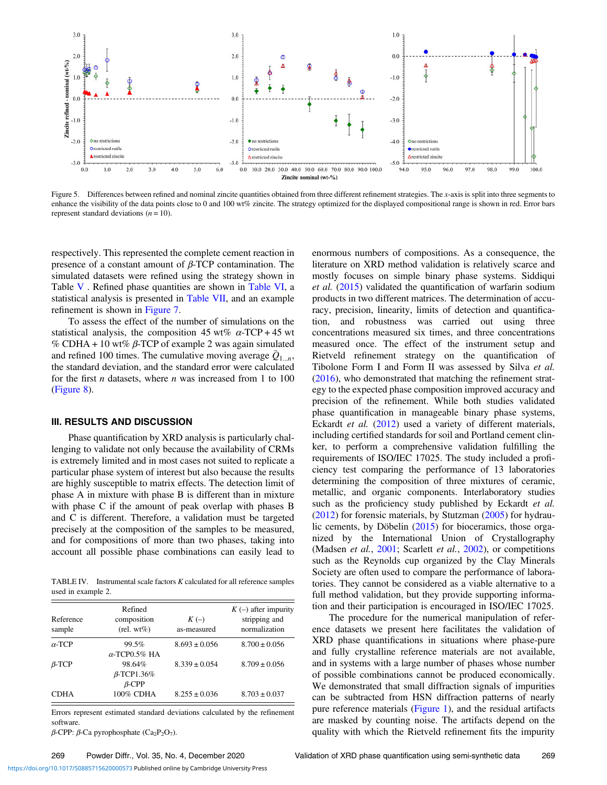<span id="page-7-0"></span>

Figure 5. Differences between refined and nominal zincite quantities obtained from three different refinement strategies. The x-axis is split into three segments to enhance the visibility of the data points close to 0 and 100 wt% zincite. The strategy optimized for the displayed compositional range is shown in red. Error bars represent standard deviations  $(n = 10)$ .

respectively. This represented the complete cement reaction in presence of a constant amount of β-TCP contamination. The simulated datasets were refined using the strategy shown in Table [V](#page-8-0) . Refined phase quantities are shown in [Table VI,](#page-9-0) a statistical analysis is presented in [Table VII,](#page-9-0) and an example refinement is shown in [Figure 7](#page-10-0).

To assess the effect of the number of simulations on the statistical analysis, the composition 45 wt%  $\alpha$ -TCP + 45 wt % CDHA + 10 wt%  $\beta$ -TCP of example 2 was again simulated and refined 100 times. The cumulative moving average  $Q_{1n}$ , the standard deviation, and the standard error were calculated for the first *n* datasets, where *n* was increased from 1 to 100 [\(Figure 8](#page-10-0)).

## III. RESULTS AND DISCUSSION

Phase quantification by XRD analysis is particularly challenging to validate not only because the availability of CRMs is extremely limited and in most cases not suited to replicate a particular phase system of interest but also because the results are highly susceptible to matrix effects. The detection limit of phase A in mixture with phase B is different than in mixture with phase C if the amount of peak overlap with phases B and C is different. Therefore, a validation must be targeted precisely at the composition of the samples to be measured, and for compositions of more than two phases, taking into account all possible phase combinations can easily lead to

TABLE IV. Instrumental scale factors  $K$  calculated for all reference samples used in example 2.

| Reference<br>sample | Refined<br>composition<br>$(\text{rel. wt%)})$ | $K(-)$<br>as-measured | $K(-)$ after impurity<br>stripping and<br>normalization |
|---------------------|------------------------------------------------|-----------------------|---------------------------------------------------------|
| $\alpha$ -TCP       | 99.5%<br>$\alpha$ -TCP0.5% HA                  | $8.693 \pm 0.056$     | $8.700 \pm 0.056$                                       |
| $\beta$ -TCP        | 98.64%<br>$\beta$ -TCP1.36%<br>$\beta$ -CPP    | $8.339 \pm 0.054$     | $8.709 \pm 0.056$                                       |
| <b>CDHA</b>         | 100% CDHA                                      | $8.255 \pm 0.036$     | $8.703 \pm 0.037$                                       |

Errors represent estimated standard deviations calculated by the refinement software.

β-CPP: β-Ca pyrophosphate  $(Ca<sub>2</sub>P<sub>2</sub>O<sub>7</sub>)$ .

enormous numbers of compositions. As a consequence, the literature on XRD method validation is relatively scarce and mostly focuses on simple binary phase systems. Siddiqui et al. [\(2015](#page-13-0)) validated the quantification of warfarin sodium products in two different matrices. The determination of accuracy, precision, linearity, limits of detection and quantification, and robustness was carried out using three concentrations measured six times, and three concentrations measured once. The effect of the instrument setup and Rietveld refinement strategy on the quantification of Tibolone Form I and Form II was assessed by Silva et al. [\(2016](#page-13-0)), who demonstrated that matching the refinement strategy to the expected phase composition improved accuracy and precision of the refinement. While both studies validated phase quantification in manageable binary phase systems, Eckardt et al. ([2012\)](#page-12-0) used a variety of different materials, including certified standards for soil and Portland cement clinker, to perform a comprehensive validation fulfilling the requirements of ISO/IEC 17025. The study included a proficiency test comparing the performance of 13 laboratories determining the composition of three mixtures of ceramic, metallic, and organic components. Interlaboratory studies such as the proficiency study published by Eckardt et al. [\(2012](#page-12-0)) for forensic materials, by Stutzman [\(2005](#page-13-0)) for hydraulic cements, by Döbelin [\(2015](#page-12-0)) for bioceramics, those organized by the International Union of Crystallography (Madsen et al., [2001](#page-13-0); Scarlett et al., [2002\)](#page-13-0), or competitions such as the Reynolds cup organized by the Clay Minerals Society are often used to compare the performance of laboratories. They cannot be considered as a viable alternative to a full method validation, but they provide supporting information and their participation is encouraged in ISO/IEC 17025.

The procedure for the numerical manipulation of reference datasets we present here facilitates the validation of XRD phase quantifications in situations where phase-pure and fully crystalline reference materials are not available, and in systems with a large number of phases whose number of possible combinations cannot be produced economically. We demonstrated that small diffraction signals of impurities can be subtracted from HSN diffraction patterns of nearly pure reference materials ([Figure 1](#page-2-0)), and the residual artifacts are masked by counting noise. The artifacts depend on the quality with which the Rietveld refinement fits the impurity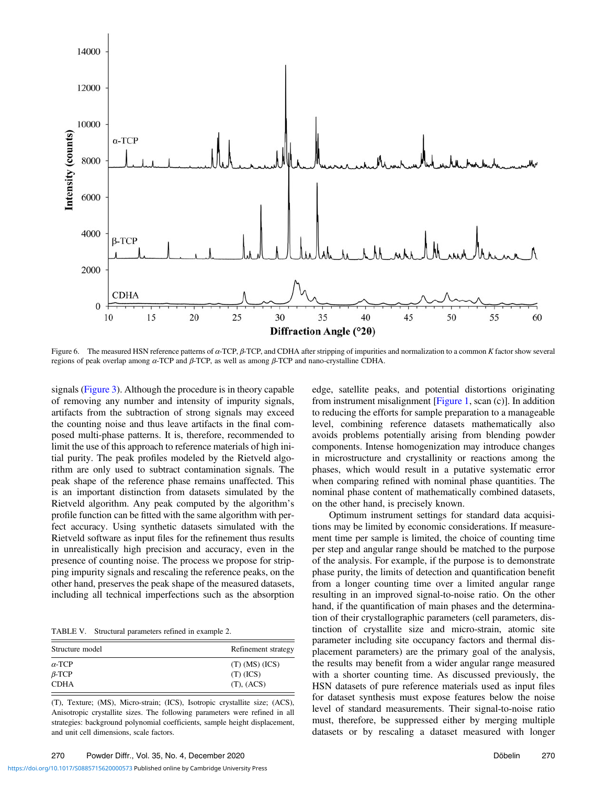<span id="page-8-0"></span>

Figure 6. The measured HSN reference patterns of α-TCP,  $β$ -TCP, and CDHA after stripping of impurities and normalization to a common K factor show several regions of peak overlap among  $α$ -TCP and  $β$ -TCP, as well as among  $β$ -TCP and nano-crystalline CDHA.

signals ([Figure 3\)](#page-4-0). Although the procedure is in theory capable of removing any number and intensity of impurity signals, artifacts from the subtraction of strong signals may exceed the counting noise and thus leave artifacts in the final composed multi-phase patterns. It is, therefore, recommended to limit the use of this approach to reference materials of high initial purity. The peak profiles modeled by the Rietveld algorithm are only used to subtract contamination signals. The peak shape of the reference phase remains unaffected. This is an important distinction from datasets simulated by the Rietveld algorithm. Any peak computed by the algorithm's profile function can be fitted with the same algorithm with perfect accuracy. Using synthetic datasets simulated with the Rietveld software as input files for the refinement thus results in unrealistically high precision and accuracy, even in the presence of counting noise. The process we propose for stripping impurity signals and rescaling the reference peaks, on the other hand, preserves the peak shape of the measured datasets, including all technical imperfections such as the absorption

TABLE V. Structural parameters refined in example 2.

| Structure model | Refinement strategy |
|-----------------|---------------------|
| $\alpha$ -TCP   | $(T)$ (MS) (ICS)    |
| $\beta$ -TCP    | $(T)$ (ICS)         |
| <b>CDHA</b>     | $(T)$ , $(ACS)$     |

(T), Texture; (MS), Micro-strain; (ICS), Isotropic crystallite size; (ACS), Anisotropic crystallite sizes. The following parameters were refined in all strategies: background polynomial coefficients, sample height displacement, and unit cell dimensions, scale factors.

edge, satellite peaks, and potential distortions originating from instrument misalignment [\[Figure 1](#page-2-0), scan (c)]. In addition to reducing the efforts for sample preparation to a manageable level, combining reference datasets mathematically also avoids problems potentially arising from blending powder components. Intense homogenization may introduce changes in microstructure and crystallinity or reactions among the phases, which would result in a putative systematic error when comparing refined with nominal phase quantities. The nominal phase content of mathematically combined datasets, on the other hand, is precisely known.

Optimum instrument settings for standard data acquisitions may be limited by economic considerations. If measurement time per sample is limited, the choice of counting time per step and angular range should be matched to the purpose of the analysis. For example, if the purpose is to demonstrate phase purity, the limits of detection and quantification benefit from a longer counting time over a limited angular range resulting in an improved signal-to-noise ratio. On the other hand, if the quantification of main phases and the determination of their crystallographic parameters (cell parameters, distinction of crystallite size and micro-strain, atomic site parameter including site occupancy factors and thermal displacement parameters) are the primary goal of the analysis, the results may benefit from a wider angular range measured with a shorter counting time. As discussed previously, the HSN datasets of pure reference materials used as input files for dataset synthesis must expose features below the noise level of standard measurements. Their signal-to-noise ratio must, therefore, be suppressed either by merging multiple datasets or by rescaling a dataset measured with longer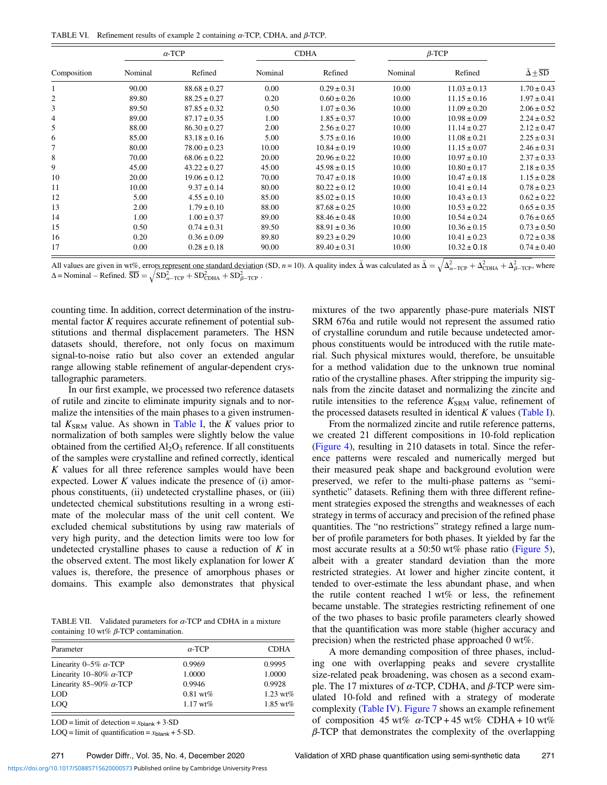<span id="page-9-0"></span>TABLE VI. Refinement results of example 2 containing  $\alpha$ -TCP, CDHA, and  $\beta$ -TCP.

|             | $\alpha$ -TCP |                  | <b>CDHA</b> |                  | $\beta$ -TCP |                  |                            |
|-------------|---------------|------------------|-------------|------------------|--------------|------------------|----------------------------|
| Composition | Nominal       | Refined          | Nominal     | Refined          | Nominal      | Refined          | $\Delta \pm \overline{SD}$ |
|             | 90.00         | $88.68 \pm 0.27$ | 0.00        | $0.29 \pm 0.31$  | 10.00        | $11.03 \pm 0.13$ | $1.70 \pm 0.43$            |
| 2           | 89.80         | $88.25 \pm 0.27$ | 0.20        | $0.60 \pm 0.26$  | 10.00        | $11.15 \pm 0.16$ | $1.97 \pm 0.41$            |
| 3           | 89.50         | $87.85 \pm 0.32$ | 0.50        | $1.07 \pm 0.36$  | 10.00        | $11.09 \pm 0.20$ | $2.06 \pm 0.52$            |
| 4           | 89.00         | $87.17 \pm 0.35$ | 1.00        | $1.85 \pm 0.37$  | 10.00        | $10.98 \pm 0.09$ | $2.24 \pm 0.52$            |
| 5           | 88.00         | $86.30 \pm 0.27$ | 2.00        | $2.56 \pm 0.27$  | 10.00        | $11.14 \pm 0.27$ | $2.12 \pm 0.47$            |
| 6           | 85.00         | $83.18 \pm 0.16$ | 5.00        | $5.75 \pm 0.16$  | 10.00        | $11.08 \pm 0.21$ | $2.25 \pm 0.31$            |
| 7           | 80.00         | $78.00 \pm 0.23$ | 10.00       | $10.84 \pm 0.19$ | 10.00        | $11.15 \pm 0.07$ | $2.46 \pm 0.31$            |
| 8           | 70.00         | $68.06 \pm 0.22$ | 20.00       | $20.96 \pm 0.22$ | 10.00        | $10.97 \pm 0.10$ | $2.37 \pm 0.33$            |
| 9           | 45.00         | $43.22 \pm 0.27$ | 45.00       | $45.98 \pm 0.15$ | 10.00        | $10.80 \pm 0.17$ | $2.18 \pm 0.35$            |
| 10          | 20.00         | $19.06 \pm 0.12$ | 70.00       | $70.47 \pm 0.18$ | 10.00        | $10.47 \pm 0.18$ | $1.15 \pm 0.28$            |
| 11          | 10.00         | $9.37 \pm 0.14$  | 80.00       | $80.22 \pm 0.12$ | 10.00        | $10.41 \pm 0.14$ | $0.78 \pm 0.23$            |
| 12          | 5.00          | $4.55 \pm 0.10$  | 85.00       | $85.02 \pm 0.15$ | 10.00        | $10.43 \pm 0.13$ | $0.62 \pm 0.22$            |
| 13          | 2.00          | $1.79 \pm 0.10$  | 88.00       | $87.68 \pm 0.25$ | 10.00        | $10.53 \pm 0.22$ | $0.65 \pm 0.35$            |
| 14          | 1.00          | $1.00 \pm 0.37$  | 89.00       | $88.46 \pm 0.48$ | 10.00        | $10.54 \pm 0.24$ | $0.76 \pm 0.65$            |
| 15          | 0.50          | $0.74 \pm 0.31$  | 89.50       | $88.91 \pm 0.36$ | 10.00        | $10.36 \pm 0.15$ | $0.73 \pm 0.50$            |
| 16          | 0.20          | $0.36 \pm 0.09$  | 89.80       | $89.23 \pm 0.29$ | 10.00        | $10.41 \pm 0.23$ | $0.72 \pm 0.38$            |
| 17          | 0.00          | $0.28 \pm 0.18$  | 90.00       | $89.40 \pm 0.31$ | 10.00        | $10.32 \pm 0.18$ | $0.74 \pm 0.40$            |

All values are given in wt%, errors represent one standard deviation (SD,  $n = 10$ ). A quality index  $\overline{\Delta}$  was calculated as  $\overline{\Delta} = \sqrt{\Delta_{\alpha-TCP}^2 + \Delta_{CDHA}^2 + \Delta_{\beta-TCP}^2}$ , where  $\Delta = \text{Nominal} - \text{Refined.} \overline{\text{SD}} = \sqrt{\text{SD}_{\alpha-\text{TCP}}^2 + \text{SD}_{\text{CDHA}}^2 + \text{SD}_{\beta-\text{TCP}}^2}$ .

counting time. In addition, correct determination of the instrumental factor K requires accurate refinement of potential substitutions and thermal displacement parameters. The HSN datasets should, therefore, not only focus on maximum signal-to-noise ratio but also cover an extended angular range allowing stable refinement of angular-dependent crystallographic parameters.

In our first example, we processed two reference datasets of rutile and zincite to eliminate impurity signals and to normalize the intensities of the main phases to a given instrumental  $K_{SRM}$  value. As shown in [Table I,](#page-4-0) the K values prior to normalization of both samples were slightly below the value obtained from the certified  $Al_2O_3$  reference. If all constituents of the samples were crystalline and refined correctly, identical K values for all three reference samples would have been expected. Lower  $K$  values indicate the presence of (i) amorphous constituents, (ii) undetected crystalline phases, or (iii) undetected chemical substitutions resulting in a wrong estimate of the molecular mass of the unit cell content. We excluded chemical substitutions by using raw materials of very high purity, and the detection limits were too low for undetected crystalline phases to cause a reduction of  $K$  in the observed extent. The most likely explanation for lower  $K$ values is, therefore, the presence of amorphous phases or domains. This example also demonstrates that physical

TABLE VII. Validated parameters for  $\alpha$ -TCP and CDHA in a mixture containing 10 wt% β-TCP contamination.

| Parameter                      | $\alpha$ -TCP      | <b>CDHA</b>         |  |
|--------------------------------|--------------------|---------------------|--|
| Linearity 0–5% $\alpha$ -TCP   | 0.9969             | 0.9995              |  |
| Linearity 10-80% $\alpha$ -TCP | 1.0000             | 1.0000              |  |
| Linearity 85-90% $\alpha$ -TCP | 0.9946             | 0.9928              |  |
| <b>LOD</b>                     | $0.81$ wt%         | 1.23 $wt%$          |  |
| LO <sub>O</sub>                | $1.17 \text{ wt%}$ | $1.85 \text{ wt\%}$ |  |

LOD = limit of detection =  $x<sub>blank</sub> + 3·SD$ 

LOQ = limit of quantification =  $x_{\text{blank}} + 5 \cdot SD$ .

mixtures of the two apparently phase-pure materials NIST SRM 676a and rutile would not represent the assumed ratio of crystalline corundum and rutile because undetected amorphous constituents would be introduced with the rutile material. Such physical mixtures would, therefore, be unsuitable for a method validation due to the unknown true nominal ratio of the crystalline phases. After stripping the impurity signals from the zincite dataset and normalizing the zincite and rutile intensities to the reference  $K_{SRM}$  value, refinement of the processed datasets resulted in identical  $K$  values [\(Table I](#page-4-0)).

From the normalized zincite and rutile reference patterns, we created 21 different compositions in 10-fold replication [\(Figure 4](#page-6-0)), resulting in 210 datasets in total. Since the reference patterns were rescaled and numerically merged but their measured peak shape and background evolution were preserved, we refer to the multi-phase patterns as "semisynthetic" datasets. Refining them with three different refinement strategies exposed the strengths and weaknesses of each strategy in terms of accuracy and precision of the refined phase quantities. The "no restrictions" strategy refined a large number of profile parameters for both phases. It yielded by far the most accurate results at a 50:50 wt% phase ratio ([Figure 5](#page-7-0)), albeit with a greater standard deviation than the more restricted strategies. At lower and higher zincite content, it tended to over-estimate the less abundant phase, and when the rutile content reached 1 wt% or less, the refinement became unstable. The strategies restricting refinement of one of the two phases to basic profile parameters clearly showed that the quantification was more stable (higher accuracy and precision) when the restricted phase approached 0 wt%.

A more demanding composition of three phases, including one with overlapping peaks and severe crystallite size-related peak broadening, was chosen as a second example. The 17 mixtures of  $α$ -TCP, CDHA, and  $β$ -TCP were simulated 10-fold and refined with a strategy of moderate complexity ([Table IV](#page-8-0)). [Figure 7](#page-10-0) shows an example refinement of composition 45 wt%  $\alpha$ -TCP + 45 wt% CDHA + 10 wt%  $\beta$ -TCP that demonstrates the complexity of the overlapping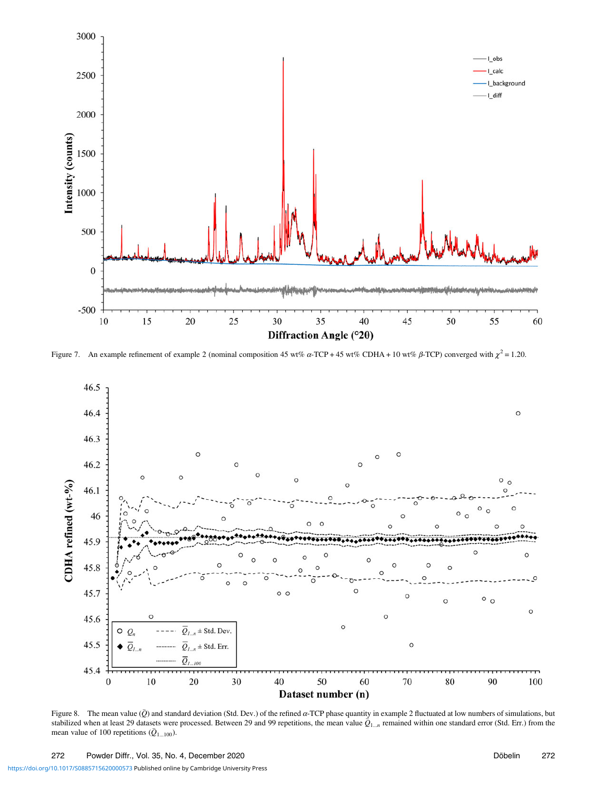<span id="page-10-0"></span>

Figure 7. An example refinement of example 2 (nominal composition 45 wt%  $\alpha$ -TCP + 45 wt% CDHA + 10 wt%  $\beta$ -TCP) converged with  $\chi^2$  = 1.20.



Figure 8. The mean value  $(\bar{Q})$  and standard deviation (Std. Dev.) of the refined  $\alpha$ -TCP phase quantity in example 2 fluctuated at low numbers of simulations, but stabilized when at least 29 datasets were processed. Between 29 and 99 repetitions, the mean value  $\bar{Q}_{1...n}$  remained within one standard error (Std. Err.) from the mean value of 100 repetitions  $(\bar{Q}_{1...100})$ .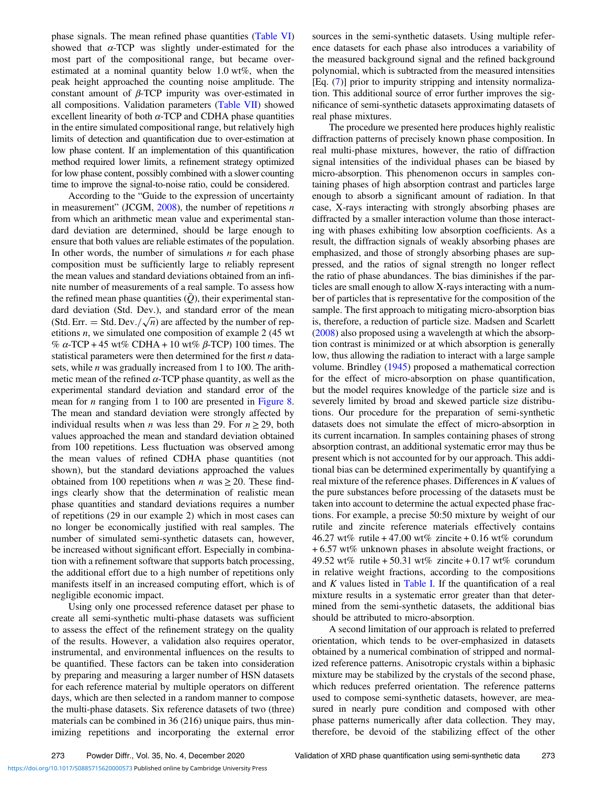phase signals. The mean refined phase quantities [\(Table VI\)](#page-9-0) showed that  $\alpha$ -TCP was slightly under-estimated for the most part of the compositional range, but became overestimated at a nominal quantity below 1.0 wt%, when the peak height approached the counting noise amplitude. The constant amount of β-TCP impurity was over-estimated in all compositions. Validation parameters [\(Table VII\)](#page-9-0) showed excellent linearity of both  $\alpha$ -TCP and CDHA phase quantities in the entire simulated compositional range, but relatively high limits of detection and quantification due to over-estimation at low phase content. If an implementation of this quantification method required lower limits, a refinement strategy optimized for low phase content, possibly combined with a slower counting time to improve the signal-to-noise ratio, could be considered.

According to the "Guide to the expression of uncertainty in measurement" (JCGM,  $2008$ ), the number of repetitions *n* from which an arithmetic mean value and experimental standard deviation are determined, should be large enough to ensure that both values are reliable estimates of the population. In other words, the number of simulations  $n$  for each phase composition must be sufficiently large to reliably represent the mean values and standard deviations obtained from an infinite number of measurements of a real sample. To assess how the refined mean phase quantities  $(Q)$ , their experimental standard deviation (Std. Dev.), and standard error of the mean (Std. Err. = Std. Dev./ $\sqrt{n}$ ) are affected by the number of repetitions n, we simulated one composition of example 2 (45 wt %  $\alpha$ -TCP + 45 wt% CDHA + 10 wt%  $\beta$ -TCP) 100 times. The statistical parameters were then determined for the first n datasets, while *n* was gradually increased from 1 to 100. The arithmetic mean of the refined  $\alpha$ -TCP phase quantity, as well as the experimental standard deviation and standard error of the mean for *n* ranging from 1 to 100 are presented in [Figure 8](#page-10-0). The mean and standard deviation were strongly affected by individual results when *n* was less than 29. For  $n \ge 29$ , both values approached the mean and standard deviation obtained from 100 repetitions. Less fluctuation was observed among the mean values of refined CDHA phase quantities (not shown), but the standard deviations approached the values obtained from 100 repetitions when *n* was  $\geq$  20. These findings clearly show that the determination of realistic mean phase quantities and standard deviations requires a number of repetitions (29 in our example 2) which in most cases can no longer be economically justified with real samples. The number of simulated semi-synthetic datasets can, however, be increased without significant effort. Especially in combination with a refinement software that supports batch processing, the additional effort due to a high number of repetitions only manifests itself in an increased computing effort, which is of negligible economic impact.

Using only one processed reference dataset per phase to create all semi-synthetic multi-phase datasets was sufficient to assess the effect of the refinement strategy on the quality of the results. However, a validation also requires operator, instrumental, and environmental influences on the results to be quantified. These factors can be taken into consideration by preparing and measuring a larger number of HSN datasets for each reference material by multiple operators on different days, which are then selected in a random manner to compose the multi-phase datasets. Six reference datasets of two (three) materials can be combined in 36 (216) unique pairs, thus minimizing repetitions and incorporating the external error sources in the semi-synthetic datasets. Using multiple reference datasets for each phase also introduces a variability of the measured background signal and the refined background polynomial, which is subtracted from the measured intensities [Eq. [\(7](#page-4-0))] prior to impurity stripping and intensity normalization. This additional source of error further improves the significance of semi-synthetic datasets approximating datasets of real phase mixtures.

The procedure we presented here produces highly realistic diffraction patterns of precisely known phase composition. In real multi-phase mixtures, however, the ratio of diffraction signal intensities of the individual phases can be biased by micro-absorption. This phenomenon occurs in samples containing phases of high absorption contrast and particles large enough to absorb a significant amount of radiation. In that case, X-rays interacting with strongly absorbing phases are diffracted by a smaller interaction volume than those interacting with phases exhibiting low absorption coefficients. As a result, the diffraction signals of weakly absorbing phases are emphasized, and those of strongly absorbing phases are suppressed, and the ratios of signal strength no longer reflect the ratio of phase abundances. The bias diminishes if the particles are small enough to allow X-rays interacting with a number of particles that is representative for the composition of the sample. The first approach to mitigating micro-absorption bias is, therefore, a reduction of particle size. Madsen and Scarlett [\(2008](#page-13-0)) also proposed using a wavelength at which the absorption contrast is minimized or at which absorption is generally low, thus allowing the radiation to interact with a large sample volume. Brindley [\(1945](#page-12-0)) proposed a mathematical correction for the effect of micro-absorption on phase quantification, but the model requires knowledge of the particle size and is severely limited by broad and skewed particle size distributions. Our procedure for the preparation of semi-synthetic datasets does not simulate the effect of micro-absorption in its current incarnation. In samples containing phases of strong absorption contrast, an additional systematic error may thus be present which is not accounted for by our approach. This additional bias can be determined experimentally by quantifying a real mixture of the reference phases. Differences in K values of the pure substances before processing of the datasets must be taken into account to determine the actual expected phase fractions. For example, a precise 50:50 mixture by weight of our rutile and zincite reference materials effectively contains 46.27 wt% rutile + 47.00 wt% zincite + 0.16 wt% corundum + 6.57 wt% unknown phases in absolute weight fractions, or 49.52 wt% rutile + 50.31 wt% zincite + 0.17 wt% corundum in relative weight fractions, according to the compositions and  $K$  values listed in [Table I.](#page-4-0) If the quantification of a real mixture results in a systematic error greater than that determined from the semi-synthetic datasets, the additional bias should be attributed to micro-absorption.

A second limitation of our approach is related to preferred orientation, which tends to be over-emphasized in datasets obtained by a numerical combination of stripped and normalized reference patterns. Anisotropic crystals within a biphasic mixture may be stabilized by the crystals of the second phase, which reduces preferred orientation. The reference patterns used to compose semi-synthetic datasets, however, are measured in nearly pure condition and composed with other phase patterns numerically after data collection. They may, therefore, be devoid of the stabilizing effect of the other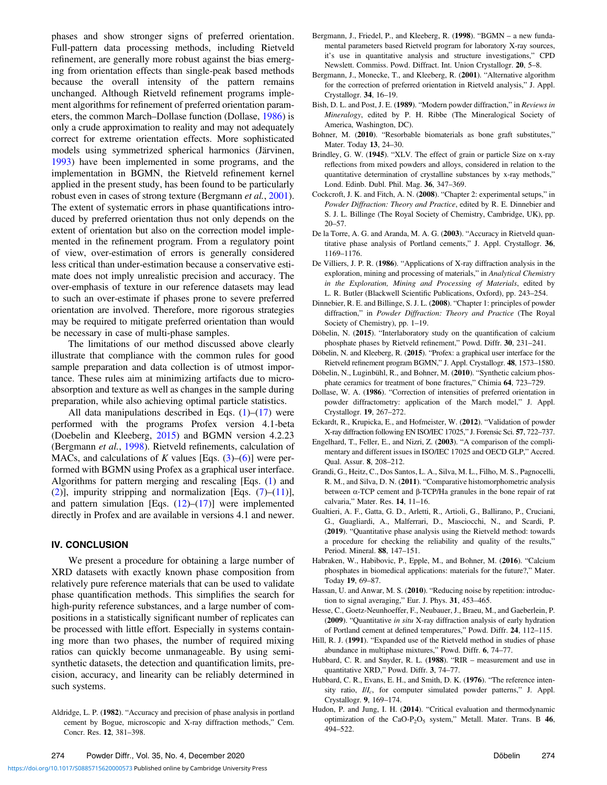<span id="page-12-0"></span>phases and show stronger signs of preferred orientation. Full-pattern data processing methods, including Rietveld refinement, are generally more robust against the bias emerging from orientation effects than single-peak based methods because the overall intensity of the pattern remains unchanged. Although Rietveld refinement programs implement algorithms for refinement of preferred orientation parameters, the common March–Dollase function (Dollase, 1986) is only a crude approximation to reality and may not adequately correct for extreme orientation effects. More sophisticated models using symmetrized spherical harmonics (Järvinen, [1993](#page-13-0)) have been implemented in some programs, and the implementation in BGMN, the Rietveld refinement kernel applied in the present study, has been found to be particularly robust even in cases of strong texture (Bergmann *et al.*, 2001). The extent of systematic errors in phase quantifications introduced by preferred orientation thus not only depends on the extent of orientation but also on the correction model implemented in the refinement program. From a regulatory point of view, over-estimation of errors is generally considered less critical than under-estimation because a conservative estimate does not imply unrealistic precision and accuracy. The over-emphasis of texture in our reference datasets may lead to such an over-estimate if phases prone to severe preferred orientation are involved. Therefore, more rigorous strategies may be required to mitigate preferred orientation than would be necessary in case of multi-phase samples.

The limitations of our method discussed above clearly illustrate that compliance with the common rules for good sample preparation and data collection is of utmost importance. These rules aim at minimizing artifacts due to microabsorption and texture as well as changes in the sample during preparation, while also achieving optimal particle statistics.

All data manipulations described in Eqs.  $(1)$  $(1)$ – $(17)$  $(17)$  were performed with the programs Profex version 4.1-beta (Doebelin and Kleeberg, 2015) and BGMN version 4.2.23 (Bergmann et al., 1998). Rietveld refinements, calculation of MACs, and calculations of K values [Eqs.  $(3)$  $(3)$ – $(6)$  $(6)$ ] were performed with BGMN using Profex as a graphical user interface. Algorithms for pattern merging and rescaling [Eqs. [\(1](#page-2-0)) and [\(2](#page-2-0))], impurity stripping and normalization [Eqs.  $(7)$  $(7)$ – $(11)$ ], and pattern simulation [Eqs.  $(12)$  $(12)$ – $(17)$  $(17)$ ] were implemented directly in Profex and are available in versions 4.1 and newer.

## IV. CONCLUSION

We present a procedure for obtaining a large number of XRD datasets with exactly known phase composition from relatively pure reference materials that can be used to validate phase quantification methods. This simplifies the search for high-purity reference substances, and a large number of compositions in a statistically significant number of replicates can be processed with little effort. Especially in systems containing more than two phases, the number of required mixing ratios can quickly become unmanageable. By using semisynthetic datasets, the detection and quantification limits, precision, accuracy, and linearity can be reliably determined in such systems.

Aldridge, L. P. (1982). "Accuracy and precision of phase analysis in portland cement by Bogue, microscopic and X-ray diffraction methods," Cem. Concr. Res. 12, 381–398.

- Bergmann, J., Friedel, P., and Kleeberg, R. (1998). "BGMN a new fundamental parameters based Rietveld program for laboratory X-ray sources, it's use in quantitative analysis and structure investigations," CPD Newslett. Commiss. Powd. Diffract. Int. Union Crystallogr. 20, 5–8.
- Bergmann, J., Monecke, T., and Kleeberg, R. (2001). "Alternative algorithm for the correction of preferred orientation in Rietveld analysis," J. Appl. Crystallogr. 34, 16–19.
- Bish, D. L. and Post, J. E. (1989). "Modern powder diffraction," in Reviews in Mineralogy, edited by P. H. Ribbe (The Mineralogical Society of America, Washington, DC).
- Bohner, M. (2010). "Resorbable biomaterials as bone graft substitutes," Mater. Today 13, 24–30.
- Brindley, G. W. (1945). "XLV. The effect of grain or particle Size on x-ray reflections from mixed powders and alloys, considered in relation to the quantitative determination of crystalline substances by x-ray methods," Lond. Edinb. Dubl. Phil. Mag. 36, 347–369.
- Cockcroft, J. K. and Fitch, A. N. (2008). "Chapter 2: experimental setups," in Powder Diffraction: Theory and Practice, edited by R. E. Dinnebier and S. J. L. Billinge (The Royal Society of Chemistry, Cambridge, UK), pp. 20–57.
- De la Torre, A. G. and Aranda, M. A. G. (2003). "Accuracy in Rietveld quantitative phase analysis of Portland cements," J. Appl. Crystallogr. 36, 1169–1176.
- De Villiers, J. P. R. (1986). "Applications of X-ray diffraction analysis in the exploration, mining and processing of materials," in Analytical Chemistry in the Exploration, Mining and Processing of Materials, edited by L. R. Butler (Blackwell Scientific Publications, Oxford), pp. 243–254.
- Dinnebier, R. E. and Billinge, S. J. L. (2008). "Chapter 1: principles of powder diffraction," in Powder Diffraction: Theory and Practice (The Royal Society of Chemistry), pp. 1–19.
- Döbelin, N. (2015). "Interlaboratory study on the quantification of calcium phosphate phases by Rietveld refinement," Powd. Diffr. 30, 231–241.
- Döbelin, N. and Kleeberg, R. (2015). "Profex: a graphical user interface for the Rietveld refinement program BGMN," J. Appl. Crystallogr. 48, 1573–1580.
- Döbelin, N., Luginbühl, R., and Bohner, M. (2010). "Synthetic calcium phosphate ceramics for treatment of bone fractures," Chimia 64, 723–729.
- Dollase, W. A. (1986). "Correction of intensities of preferred orientation in powder diffractometry: application of the March model," J. Appl. Crystallogr. 19, 267–272.
- Eckardt, R., Krupicka, E., and Hofmeister, W. (2012). "Validation of powder X-ray diffraction following EN ISO/IEC 17025," J. Forensic Sci. 57, 722–737.
- Engelhard, T., Feller, E., and Nizri, Z. (2003). "A comparison of the complimentary and different issues in ISO/IEC 17025 and OECD GLP," Accred. Qual. Assur. 8, 208–212.
- Grandi, G., Heitz, C., Dos Santos, L. A., Silva, M. L., Filho, M. S., Pagnocelli, R. M., and Silva, D. N. (2011). "Comparative histomorphometric analysis between α-TCP cement and β-TCP/Ha granules in the bone repair of rat calvaria," Mater. Res. 14, 11–16.
- Gualtieri, A. F., Gatta, G. D., Arletti, R., Artioli, G., Ballirano, P., Cruciani, G., Guagliardi, A., Malferrari, D., Masciocchi, N., and Scardi, P. (2019). "Quantitative phase analysis using the Rietveld method: towards a procedure for checking the reliability and quality of the results," Period. Mineral. 88, 147–151.
- Habraken, W., Habibovic, P., Epple, M., and Bohner, M. (2016). "Calcium phosphates in biomedical applications: materials for the future?," Mater. Today 19, 69–87.
- Hassan, U. and Anwar, M. S. (2010). "Reducing noise by repetition: introduction to signal averaging," Eur. J. Phys. 31, 453–465.
- Hesse, C., Goetz-Neunhoeffer, F., Neubauer, J., Braeu, M., and Gaeberlein, P. (2009). "Quantitative in situ X-ray diffraction analysis of early hydration of Portland cement at defined temperatures," Powd. Diffr. 24, 112–115.
- Hill, R. J. (1991). "Expanded use of the Rietveld method in studies of phase abundance in multiphase mixtures," Powd. Diffr. 6, 74–77.
- Hubbard, C. R. and Snyder, R. L. (1988). "RIR measurement and use in quantitative XRD," Powd. Diffr. 3, 74–77.
- Hubbard, C. R., Evans, E. H., and Smith, D. K. (1976). "The reference intensity ratio,  $III_c$ , for computer simulated powder patterns," J. Appl. Crystallogr. 9, 169–174.
- Hudon, P. and Jung, I. H. (2014). "Critical evaluation and thermodynamic optimization of the CaO-P<sub>2</sub>O<sub>5</sub> system," Metall. Mater. Trans. B 46, 494–522.